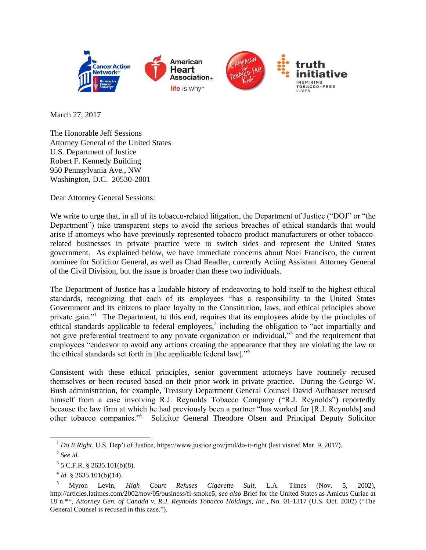

March 27, 2017

The Honorable Jeff Sessions Attorney General of the United States U.S. Department of Justice Robert F. Kennedy Building 950 Pennsylvania Ave., NW Washington, D.C. 20530-2001

Dear Attorney General Sessions:

We write to urge that, in all of its tobacco-related litigation, the Department of Justice ("DOJ" or "the Department") take transparent steps to avoid the serious breaches of ethical standards that would arise if attorneys who have previously represented tobacco product manufacturers or other tobaccorelated businesses in private practice were to switch sides and represent the United States government. As explained below, we have immediate concerns about Noel Francisco, the current nominee for Solicitor General, as well as Chad Readler, currently Acting Assistant Attorney General of the Civil Division, but the issue is broader than these two individuals.

The Department of Justice has a laudable history of endeavoring to hold itself to the highest ethical standards, recognizing that each of its employees "has a responsibility to the United States Government and its citizens to place loyalty to the Constitution, laws, and ethical principles above private gain."<sup>1</sup> The Department, to this end, requires that its employees abide by the principles of ethical standards applicable to federal employees,<sup>2</sup> including the obligation to "act impartially and not give preferential treatment to any private organization or individual,"<sup>3</sup> and the requirement that employees "endeavor to avoid any actions creating the appearance that they are violating the law or the ethical standards set forth in [the applicable federal law].<sup> $34$ </sup>

Consistent with these ethical principles, senior government attorneys have routinely recused themselves or been recused based on their prior work in private practice. During the George W. Bush administration, for example, Treasury Department General Counsel David Aufhauser recused himself from a case involving R.J. Reynolds Tobacco Company ("R.J. Reynolds") reportedly because the law firm at which he had previously been a partner "has worked for [R.J. Reynolds] and other tobacco companies."<sup>5</sup> Solicitor General Theodore Olsen and Principal Deputy Solicitor

 $\overline{a}$ 

<sup>1</sup> *Do It Right*, U.S. Dep't of Justice, https://www.justice.gov/jmd/do-it-right (last visited Mar. 9, 2017).

<sup>2</sup> *See id.*

 $3$  5 C.F.R. § 2635.101(b)(8).

 $4$  *Id.* § 2635.101(b)(14).

<sup>5</sup> Myron Levin, *High Court Refuses Cigarette Suit*, L.A. Times (Nov. 5, 2002), http://articles.latimes.com/2002/nov/05/business/fi-smoke5; *see also* Brief for the United States as Amicus Curiae at 18 n.\*\*, *Attorney Gen. of Canada v. R.J. Reynolds Tobacco Holdings, Inc.*, No. 01-1317 (U.S. Oct. 2002) ("The General Counsel is recused in this case.").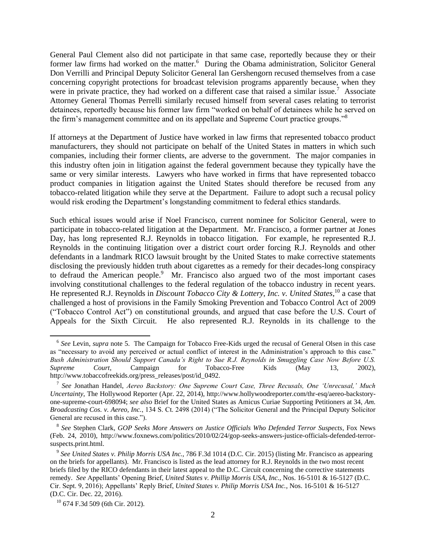General Paul Clement also did not participate in that same case, reportedly because they or their former law firms had worked on the matter.<sup>6</sup> During the Obama administration, Solicitor General Don Verrilli and Principal Deputy Solicitor General Ian Gershengorn recused themselves from a case concerning copyright protections for broadcast television programs apparently because, when they were in private practice, they had worked on a different case that raised a similar issue.<sup>7</sup> Associate Attorney General Thomas Perrelli similarly recused himself from several cases relating to terrorist detainees, reportedly because his former law firm "worked on behalf of detainees while he served on the firm's management committee and on its appellate and Supreme Court practice groups."<sup>8</sup>

If attorneys at the Department of Justice have worked in law firms that represented tobacco product manufacturers, they should not participate on behalf of the United States in matters in which such companies, including their former clients, are adverse to the government. The major companies in this industry often join in litigation against the federal government because they typically have the same or very similar interests. Lawyers who have worked in firms that have represented tobacco product companies in litigation against the United States should therefore be recused from any tobacco-related litigation while they serve at the Department. Failure to adopt such a recusal policy would risk eroding the Department's longstanding commitment to federal ethics standards.

Such ethical issues would arise if Noel Francisco, current nominee for Solicitor General, were to participate in tobacco-related litigation at the Department. Mr. Francisco, a former partner at Jones Day, has long represented R.J. Reynolds in tobacco litigation. For example, he represented R.J. Reynolds in the continuing litigation over a district court order forcing R.J. Reynolds and other defendants in a landmark RICO lawsuit brought by the United States to make corrective statements disclosing the previously hidden truth about cigarettes as a remedy for their decades-long conspiracy to defraud the American people.<sup>9</sup> Mr. Francisco also argued two of the most important cases involving constitutional challenges to the federal regulation of the tobacco industry in recent years. He represented R.J. Reynolds in *Discount Tobacco City & Lottery, Inc. v. United States*, <sup>10</sup> a case that challenged a host of provisions in the Family Smoking Prevention and Tobacco Control Act of 2009 ("Tobacco Control Act") on constitutional grounds, and argued that case before the U.S. Court of Appeals for the Sixth Circuit. He also represented R.J. Reynolds in its challenge to the

 $\overline{a}$ 

<sup>&</sup>lt;sup>6</sup> See Levin, *supra* note 5. The Campaign for Tobacco Free-Kids urged the recusal of General Olsen in this case as "necessary to avoid any perceived or actual conflict of interest in the Administration's approach to this case." *Bush Administration Should Support Canada's Right to Sue R.J. Reynolds in Smuggling Case Now Before U.S. Supreme Court*, Campaign for Tobacco-Free Kids (May 13, 2002), http://www.tobaccofreekids.org/press\_releases/post/id\_0492.

<sup>7</sup> *See* Jonathan Handel, *Aereo Backstory: One Supreme Court Case, Three Recusals, One 'Unrecusal,' Much Uncertainty*, The Hollywood Reporter (Apr. 22, 2014), http://www.hollywoodreporter.com/thr-esq/aereo-backstoryone-supreme-court-698094; *see also* Brief for the United States as Amicus Curiae Supporting Petitioners at 34, *Am. Broadcasting Cos. v. Aereo, Inc.*, 134 S. Ct. 2498 (2014) ("The Solicitor General and the Principal Deputy Solicitor General are recused in this case.").

<sup>8</sup> *See* Stephen Clark, *GOP Seeks More Answers on Justice Officials Who Defended Terror Suspects*, Fox News (Feb. 24, 2010), http://www.foxnews.com/politics/2010/02/24/gop-seeks-answers-justice-officials-defended-terrorsuspects.print.html.

<sup>9</sup> *See United States v. Philip Morris USA Inc.*, 786 F.3d 1014 (D.C. Cir. 2015) (listing Mr. Francisco as appearing on the briefs for appellants). Mr. Francisco is listed as the lead attorney for R.J. Reynolds in the two most recent briefs filed by the RICO defendants in their latest appeal to the D.C. Circuit concerning the corrective statements remedy. *See* Appellants' Opening Brief, *United States v. Phillip Morris USA, Inc.*, Nos. 16-5101 & 16-5127 (D.C. Cir. Sept. 9, 2016); Appellants' Reply Brief, *United States v. Philip Morris USA Inc.*, Nos. 16-5101 & 16-5127 (D.C. Cir. Dec. 22, 2016).

 $10$  674 F.3d 509 (6th Cir. 2012).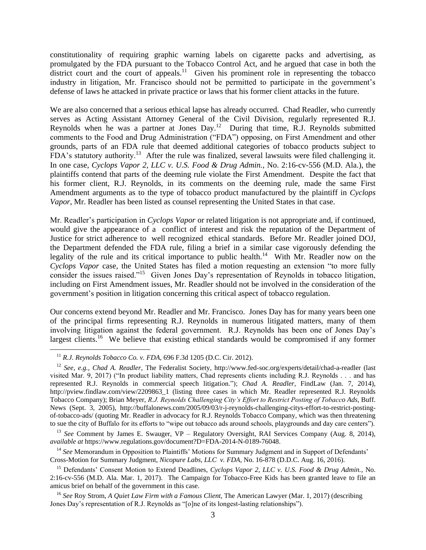constitutionality of requiring graphic warning labels on cigarette packs and advertising, as promulgated by the FDA pursuant to the Tobacco Control Act, and he argued that case in both the district court and the court of appeals.<sup>11</sup> Given his prominent role in representing the tobacco industry in litigation, Mr. Francisco should not be permitted to participate in the government's defense of laws he attacked in private practice or laws that his former client attacks in the future.

We are also concerned that a serious ethical lapse has already occurred. Chad Readler, who currently serves as Acting Assistant Attorney General of the Civil Division, regularly represented R.J. Reynolds when he was a partner at Jones Day.<sup>12</sup> During that time, R.J. Reynolds submitted comments to the Food and Drug Administration ("FDA") opposing, on First Amendment and other grounds, parts of an FDA rule that deemed additional categories of tobacco products subject to FDA's statutory authority.<sup>13</sup> After the rule was finalized, several lawsuits were filed challenging it. In one case, *Cyclops Vapor 2, LLC v. U.S. Food & Drug Admin.*, No. 2:16-cv-556 (M.D. Ala.), the plaintiffs contend that parts of the deeming rule violate the First Amendment. Despite the fact that his former client, R.J. Reynolds, in its comments on the deeming rule, made the same First Amendment arguments as to the type of tobacco product manufactured by the plaintiff in *Cyclops Vapor*, Mr. Readler has been listed as counsel representing the United States in that case.

Mr. Readler's participation in *Cyclops Vapor* or related litigation is not appropriate and, if continued, would give the appearance of a conflict of interest and risk the reputation of the Department of Justice for strict adherence to well recognized ethical standards. Before Mr. Readler joined DOJ, the Department defended the FDA rule, filing a brief in a similar case vigorously defending the legality of the rule and its critical importance to public health.<sup>14</sup> With Mr. Readler now on the *Cyclops Vapor* case, the United States has filed a motion requesting an extension "to more fully consider the issues raised."<sup>15</sup> Given Jones Day's representation of Reynolds in tobacco litigation, including on First Amendment issues, Mr. Readler should not be involved in the consideration of the government's position in litigation concerning this critical aspect of tobacco regulation.

Our concerns extend beyond Mr. Readler and Mr. Francisco. Jones Day has for many years been one of the principal firms representing R.J. Reynolds in numerous litigated matters, many of them involving litigation against the federal government. R.J. Reynolds has been one of Jones Day's largest clients.<sup>16</sup> We believe that existing ethical standards would be compromised if any former

 $\overline{a}$ 

<sup>14</sup> See Memorandum in Opposition to Plaintiffs' Motions for Summary Judgment and in Support of Defendants' Cross-Motion for Summary Judgment, *Nicopure Labs, LLC v. FDA*, No. 16-878 (D.D.C. Aug. 16, 2016).

<sup>11</sup> *R.J. Reynolds Tobacco Co. v. FDA*, 696 F.3d 1205 (D.C. Cir. 2012).

<sup>12</sup> *See, e.g.*, *Chad A. Readler*, The Federalist Society, http://www.fed-soc.org/experts/detail/chad-a-readler (last visited Mar. 9, 2017) ("In product liability matters, Chad represents clients including R.J. Reynolds . . . and has represented R.J. Reynolds in commercial speech litigation."); *Chad A. Readler*, FindLaw (Jan. 7, 2014), http://pview.findlaw.com/view/2209863\_1 (listing three cases in which Mr. Readler represented R.J. Reynolds Tobacco Company); Brian Meyer, *R.J. Reynolds Challenging City's Effort to Restrict Posting of Tobacco Ads*, Buff. News (Sept. 3, 2005), http://buffalonews.com/2005/09/03/r-j-reynolds-challenging-citys-effort-to-restrict-postingof-tobacco-ads/ (quoting Mr. Readler in advocacy for R.J. Reynolds Tobacco Company, which was then threatening to sue the city of Buffalo for its efforts to "wipe out tobacco ads around schools, playgrounds and day care centers").

<sup>13</sup> *See* Comment by James E. Swauger, VP – Regulatory Oversight, RAI Services Company (Aug. 8, 2014), *available at* https://www.regulations.gov/document?D=FDA-2014-N-0189-76048.

<sup>15</sup> Defendants' Consent Motion to Extend Deadlines, *Cyclops Vapor 2, LLC v. U.S. Food & Drug Admin.*, No. 2:16-cv-556 (M.D. Ala. Mar. 1, 2017). The Campaign for Tobacco-Free Kids has been granted leave to file an amicus brief on behalf of the government in this case.

<sup>16</sup> *See* Roy Strom, *A Quiet Law Firm with a Famous Client*, The American Lawyer (Mar. 1, 2017) (describing Jones Day's representation of R.J. Reynolds as "[o]ne of its longest-lasting relationships").